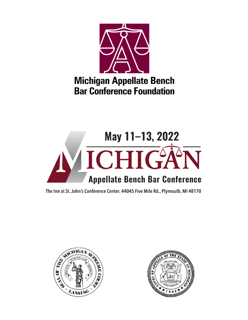

# **Michigan Appellate Bench Bar Conference Foundation**



The Inn at St. John's Conference Center, 44045 Five Mile Rd., Plymouth, MI 48170



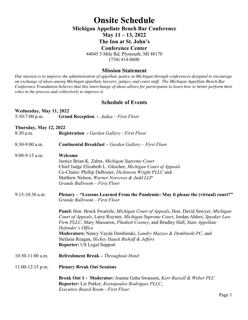# **Onsite Schedule Michigan Appellate Bench Bar Conference May 11 – 13, 2022 The Inn at St. John's Conference Center** 44045 5 Mile Rd, Plymouth, MI 48170 (734) 414-0600

# **Mission Statement**

*Our mission is to improve the administration of appellate justice in Michigan through conferences designed to encourage an exchange of ideas among Michigan appellate lawyers, judges, and court staff. The Michigan Appellate Bench Bar Conference Foundation believes that this interchange of ideas allows for participants to learn how to better perform their roles in the process and collectively to improve it.*

# **Schedule of Events**

| Wednesday, May 11, 2022       |                                                                                                                                                                                                                                                           |
|-------------------------------|-----------------------------------------------------------------------------------------------------------------------------------------------------------------------------------------------------------------------------------------------------------|
| $5:30-7:00$ p.m.              | <b>Grand Reception - Judea - First Floor</b>                                                                                                                                                                                                              |
| <b>Thursday, May 12, 2022</b> |                                                                                                                                                                                                                                                           |
| 8:30 a.m.                     | <b>Registration</b> - Garden Gallery - First Floor                                                                                                                                                                                                        |
| 8:30-9:00 a.m.                | <b>Continental Breakfast - Garden Gallery - First Floor</b>                                                                                                                                                                                               |
| $9:00-9:15$ a.m.              | Welcome<br>Justice Brian K. Zahra, Michigan Supreme Court                                                                                                                                                                                                 |
|                               | Chief Judge Elizabeth L. Gleicher, Michigan Court of Appeals                                                                                                                                                                                              |
|                               | Co-Chairs: Phillip DeRosier, Dickinson Wright PLLC and                                                                                                                                                                                                    |
|                               | Matthew Nelson, Warner Norcross & Judd LLP                                                                                                                                                                                                                |
|                               | Grande Ballroom - First Floor                                                                                                                                                                                                                             |
| 9:15-10:30 a.m.               | Plenary – "Lessons Learned From the Pandemic: May it please the (virtual) court?"<br>Grande Ballroom - First Floor                                                                                                                                        |
|                               | Panel: Hon. Brock Swartzle, Michigan Court of Appeals, Hon. David Sawyer, Michigan<br>Court of Appeals, Larry Royster, Michigan Supreme Court, Jordan Ahlers, Speaker Law<br>Firm PLLC, Mary Massaron, Plunkett Cooney, and Bradley Hall, State Appellate |
|                               | Defender's Office<br>Moderators: Nancy Vayda Dembinski, Landry Mazzeo & Dembinski PC, and                                                                                                                                                                 |
|                               | Stefanie Reagan, Hickey Hauck Bishoff & Jeffers                                                                                                                                                                                                           |
|                               | <b>Reporter: US Legal Support</b>                                                                                                                                                                                                                         |
| $10:30-11:00$ a.m.            | Refreshment Break - Throughout Hotel                                                                                                                                                                                                                      |
| $11:00-12:15$ p.m.            | <b>Plenary Break Out Sessions</b>                                                                                                                                                                                                                         |
|                               | Break Out 1 - Moderator: Joanne Geha Swanson, Kerr Russell & Weber PLC<br>Reporter: Liz Parker, Kostopoulos Rodriguez PLLC,<br><b>Executive Board Room - First Floor</b>                                                                                  |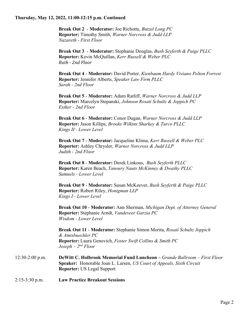#### **Thursday, May 12, 2022, 11:00-12:15 p.m. Continued**

**Break Out 2** - **Moderator:** Joe Richotte, *Butzel Long PC* **Reporter:** Timothy Smith, *Warner Norcross & Judd LLP Nazareth - First Floor*

**Break Out 3** - **Moderator:** Stephanie Douglas, *Bush Seyferth & Paige PLLC* **Reporter:** Kevin McQuillan, *Kerr Russell & Weber PLC Ruth - 2nd Floor*

**Break Out 4** - **Moderator:** David Porter, *Kienbaum Hardy Viviano Pelton Forrest*  **Reporter:** Jennifer Alberts, *Speaker Law Firm PLLC Sarah - 2nd Floor*

**Break Out 5** - **Moderator:** Adam Ratliff, *Warner Norcross & Judd LLP* **Reporter:** Marcelyn Stepanski, *Johnson Rosati Schultz & Joppich PC Esther - 2nd Floor*

**Break Out 6** - **Moderator:** Conor Dugan, *Warner Norcross & Judd LLP* **Reporter:** Jason Killips, *Brooks Wilkins Sharkey & Turco PLLC Kings II - Lower Level*

**Break Out 7** - **Moderator:** Jacqueline Klima, *Kerr Russell & Weber PLC* **Reporter:** Ashley Chrysler, *Warner Norcross & Judd LLP Judith - 2nd Floor*

**Break Out 8** - **Moderator:** Derek Linkous, *Bush Seyferth PLLC* **Reporter:** Karen Beach, *Tanoury Nauts McKinney & Dwaihy PLLC Samuels - Lower Level*

**Break Out 9** - **Moderator:** Susan McKeever, *Bush Seyferth & Paige PLLC* **Reporter:** Robert Riley, *Honigman LLP Kings I - Lower Level*

**Break Out 10** - **Moderator:** Ann Sherman, *Michigan Dept. of Attorney General* **Reporter:** Stephanie Arndt, *Vandeveer Garzia PC Wisdom - Lower Level*

**Break Out 11** - **Moderator:** Stephanie Simon Morita, *Rosati Schultz Joppich & Amtsbuechler PC* **Reporter:** Laura Genovich, *Foster Swift Collins & Smith PC Joseph – 2nd Floor*

12:30-2:00 p.m. **DeWitt C. Holbrook Memorial Fund Luncheon –** *Grande Ballroom – First Floor* **Speaker:** Honorable Joan L. Larsen, *US Court of Appeals, Sixth Circuit* **Reporter:** US Legal Support

2:15-3:30 p.m. **Law Practice Breakout Sessions**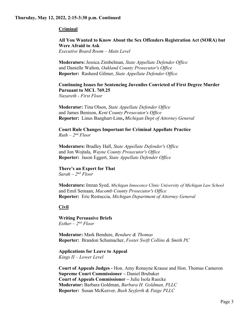# **Criminal**

**All You Wanted to Know About the Sex Offenders Registration Act (SORA) but Were Afraid to Ask** *Executive Board Room – Main Level*

**Moderators:** Jessica Zimbelman, *State Appellate Defender Office* and Danielle Walton, *Oakland County Prosecutor's Office* **Reporter:** Rasheed Gilmer, *State Appellate Defender Office*

**Continuing Issues for Sentencing Juveniles Convicted of First Degree Murder Pursuant to MCL 769.25**

*Nazareth - First Floor*

**Moderator:** Tina Olson, *State Appellate Defender Office* and James Benison, *Kent County Prosecutor's Office* **Reporter:** Linus Banghart-Linn**,** *Michigan Dept of Attorney General*

**Court Rule Changes Important for Criminal Appellate Practice** *Ruth – 2nd Floor*

**Moderators:** Bradley Hall, *State Appellate Defender's Office* and Jon Wojtala, *Wayne County Prosecutor's Office* **Reporter:** Jason Eggert, *State Appellate Defender Office*

**There's an Expert for That** *Sarah – 2nd Floor*

**Moderators:** Imran Syed, *Michigan Innocence Clinic University of Michigan Law School* and Emil Semaan, *Macomb County Prosecutor's Office* **Reporter:** Eric Restuccia, *Michigan Department of Attorney General*

**Civil**

**Writing Persuasive Briefs**  *Esther – 2nd Floor*

**Moderator:** Mark Bendure, *Bendure & Thomas* **Reporter:** Brandon Schumacher, *Foster Swift Collins & Smith PC*

**Applications for Leave to Appeal**  *Kings II – Lower Level*

**Court of Appeals Judges -** Hon. Amy Ronayne Krause and Hon. Thomas Cameron **Supreme Court Commissioner –** Daniel Brubaker **Court of Appeals Commissioner –** Julie Isola Ruecke **Moderator:** Barbara Goldman, *Barbara H. Goldman, PLLC* **Reporter:** Susan McKeever, *Bush Seyferth & Paige PLLC*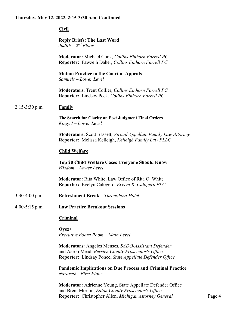#### **Thursday, May 12, 2022, 2:15-3:30 p.m. Continued**

**Civil**

#### **Reply Briefs: The Last Word**  *Judith – 2nd Floor*

**Moderator:** Michael Cook, *Collins Einhorn Farrell PC* **Reporter:** Fawzeih Daher, *Collins Einhorn Farrell PC*

**Motion Practice in the Court of Appeals** *Samuels – Lower Level*

**Moderators:** Trent Collier, *Collins Einhorn Farrell PC* **Reporter:** Lindsey Peck, *Collins Einhorn Farrell PC*

#### 2:15-3:30 p.m. **Family**

**The Search for Clarity on Post Judgment Final Orders** *Kings I – Lower Level*

**Moderators:** Scott Bassett, *Virtual Appellate Family Law Attorney* **Reporter:** Melissa Kelleigh, *Kelleigh Family Law PLLC*

#### **Child Welfare**

**Top 20 Child Welfare Cases Everyone Should Know** *Wisdom – Lower Level*

**Moderator:** Rita White, Law Office of Rita O. White **Reporter:** Evelyn Calogero, *Evelyn K. Calogero PLC*

- 3:30-4:00 p.m. **Refreshment Break –** *Throughout Hotel*
- 4:00-5:15 p.m. **Law Practice Breakout Sessions**

#### **Criminal**

**Oyez+** *Executive Board Room – Main Level*

**Moderators:** Angeles Menses, *SADO-Assistant Defender* and Aaron Mead, *Berrien County Prosecutor's Office* **Reporter:** Lindsay Ponce**,** *State Appellate Defender Office*

**Pandemic Implications on Due Process and Criminal Practice** *Nazareth - First Floor*

**Moderator:** Adrienne Young, State Appellate Defender Office and Brent Morton, *Eaton County Prosecutor's Office* **Reporter:** Christopher Allen, *Michigan Attorney General* Page 4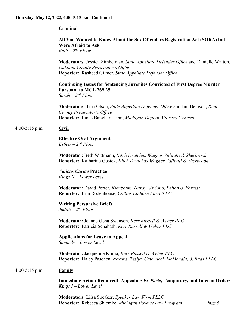# **Criminal**

**All You Wanted to Know About the Sex Offenders Registration Act (SORA) but Were Afraid to Ask** *Ruth – 2nd Floor*

**Moderators:** Jessica Zimbelman, *State Appellate Defender Office* and Danielle Walton, *Oakland County Prosecutor's Office* **Reporter:** Rasheed Gilmer, *State Appellate Defender Office*

**Continuing Issues for Sentencing Juveniles Convicted of First Degree Murder Pursuant to MCL 769.25** *Sarah – 2nd Floor*

**Moderators:** Tina Olson, *State Appellate Defender Office* and Jim Benison, *Kent County Prosecutor's Office* **Reporter:** Linus Banghart-Linn, *Michigan Dept of Attorney General*

# 4:00-5:15 p.m. **Civil**

#### **Effective Oral Argument** *Esther – 2nd Floor*

**Moderator:** Beth Wittmann, *Kitch Drutchas Wagner Valitutti & Sherbrook* **Reporter:** Katharine Gostek, *Kitch Drutchas Wagner Valitutti & Sherbrook*

# *Amicus Curiae* **Practice**

*Kings II – Lower Level*

**Moderator:** David Porter, *Kienbaum, Hardy, Viviano, Pelton & Forrest* **Reporter:** Erin Rodenhouse, *Collins Einhorn Farrell PC*

# **Writing Persuasive Briefs**

*Judith – 2nd Floor*

**Moderator:** Joanne Geha Swanson, *Kerr Russell & Weber PLC* **Reporter:** Patricia Schabath, *Kerr Russell & Weber PLC*

#### **Applications for Leave to Appeal** *Samuels – Lower Level*

**Moderator:** Jacqueline Klima, *Kerr Russell & Weber PLC* **Reporter:** Haley Paschen**,** *Novara, Tesija, Catenacci, McDonald, & Baas PLLC*

# 4:00-5:15 p.m. **Family**

**Immediate Action Required! Appealing** *Ex Parte***, Temporary, and Interim Orders** *Kings I – Lower Level*

**Moderators:** Liisa Speaker, *Speaker Law Firm PLLC* **Reporter:** Rebecca Shiemke, *Michigan Poverty Law Program* Page 5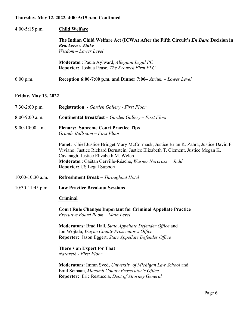# **Thursday, May 12, 2022, 4:00-5:15 p.m. Continued**

| $4:00-5:15$ p.m.            | <b>Child Welfare</b>                                                                                                                                                                                                                                                                                                         |
|-----------------------------|------------------------------------------------------------------------------------------------------------------------------------------------------------------------------------------------------------------------------------------------------------------------------------------------------------------------------|
|                             | The Indian Child Welfare Act (ICWA) After the Fifth Circuit's <i>En Banc</i> Decision in<br><b>Brackeen v Zinke</b><br>Wisdom - Lower Level                                                                                                                                                                                  |
|                             | Moderator: Paula Aylward, Allegiant Legal PC<br>Reporter: Joshua Pease, The Kronzek Firm PLC                                                                                                                                                                                                                                 |
| $6:00$ p.m.                 | Reception 6:00-7:00 p.m. and Dinner 7:00– Atrium – Lower Level                                                                                                                                                                                                                                                               |
| <b>Friday, May 13, 2022</b> |                                                                                                                                                                                                                                                                                                                              |
| $7:30-2:00$ p.m.            | <b>Registration</b> - Garden Gallery - First Floor                                                                                                                                                                                                                                                                           |
| $8:00-9:00$ a.m.            | <b>Continental Breakfast - Garden Gallery - First Floor</b>                                                                                                                                                                                                                                                                  |
| $9:00-10:00$ a.m.           | <b>Plenary: Supreme Court Practice Tips</b><br>Grande Ballroom - First Floor                                                                                                                                                                                                                                                 |
|                             | <b>Panel:</b> Chief Justice Bridget Mary McCormack, Justice Brian K. Zahra, Justice David F.<br>Viviano, Justice Richard Bernstein, Justice Elizabeth T. Clement, Justice Megan K.<br>Cavanagh, Justice Elizabeth M. Welch<br>Moderator: Gaëtan Gerville-Réache, Warner Norcross + Judd<br><b>Reporter: US Legal Support</b> |
| 10:00-10:30 a.m.            | <b>Refreshment Break – Throughout Hotel</b>                                                                                                                                                                                                                                                                                  |
| $10:30-11:45$ p.m.          | <b>Law Practice Breakout Sessions</b>                                                                                                                                                                                                                                                                                        |
|                             | Criminal                                                                                                                                                                                                                                                                                                                     |
|                             | <b>Court Rule Changes Important for Criminal Appellate Practice</b><br>Executive Board Room - Main Level                                                                                                                                                                                                                     |
|                             | <b>Moderators:</b> Brad Hall, State Appellate Defender Office and<br>Jon Wojtala, Wayne County Prosecutor's Office<br>Reporter: Jason Eggert, State Appellate Defender Office                                                                                                                                                |
|                             | There's an Expert for That<br>Nazareth - First Floor                                                                                                                                                                                                                                                                         |
|                             | <b>Moderators:</b> Imran Syed, University of Michigan Law School and<br>Emil Semaan, Macomb County Prosecutor's Office<br><b>Reporter:</b> Eric Restuccia, <i>Dept of Attorney General</i>                                                                                                                                   |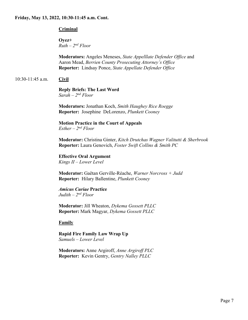# **Criminal**

**Oyez+** *Ruth – 2nd Floor*

**Moderators:** Angeles Meneses, *State Appelllate Defender Office* and Aaron Mead, *Berrien County Prosecuting Attorney's Office* **Reporter:** Lindsay Ponce, *State Appellate Defender Office*

# 10:30-11:45 a.m. **Civil**

**Reply Briefs: The Last Word**  *Sarah – 2nd Floor*

**Moderators:** Jonathan Koch, *Smith Haughey Rice Roegge* **Reporter:** Josephine DeLorenzo, *Plunkett Cooney*

**Motion Practice in the Court of Appeals**  *Esther – 2nd Floor*

**Moderator:** Christina Ginter, *Kitch Drutchas Wagner Valitutti & Sherbrook* **Reporter:** Laura Genovich, *Foster Swift Collins & Smith PC*

**Effective Oral Argument** *Kings II – Lower Level*

**Moderator:** Gaëtan Gerville-Réache, *Warner Norcross + Judd* **Reporter:** Hilary Ballentine, *Plunkett Cooney*

*Amicus Curiae* **Practice** *Judith – 2nd Floor*

**Moderator:** Jill Wheaton, *Dykema Gossett PLLC* **Reporter:** Mark Magyar, *Dykema Gossett PLLC*

**Family**

**Rapid Fire Family Law Wrap Up** *Samuels – Lower Level*

**Moderators:** Anne Argiroff, *Anne Argiroff PLC* **Reporter:** Kevin Gentry, *Gentry Nalley PLLC*